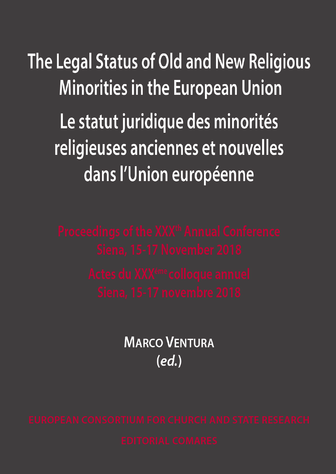The Legal Status of Old and New Religious **Minorities in the European Union** Le statut juridique des minorités religieuses anciennes et nouvelles dans l'Union européenne

**MARCO VENTURA**  $(ed)$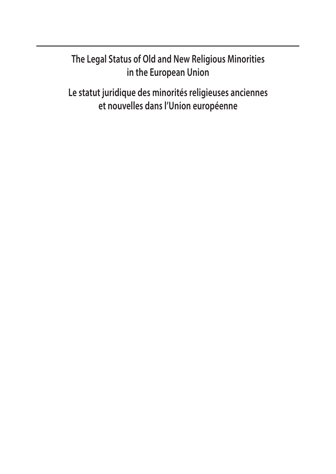## **The Legal Status of Old and New Religious Minorities in the European Union**

**Le statut juridique des minorités religieuses anciennes et nouvelles dans l'Union européenne**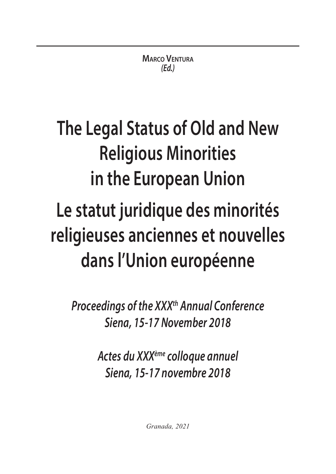# **The Legal Status of Old and New Religious Minorities in the European Union**

## **Le statut juridique des minorités religieuses anciennes et nouvelles dans l'Union européenne**

*Proceedings of the XXXth Annual Conference Siena, 15-17 November 2018*

> *Actes du XXXème colloque annuel Siena, 15-17 novembre 2018*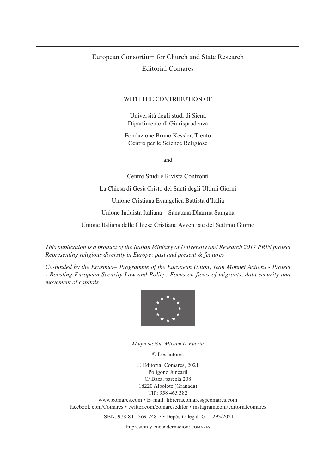### European Consortium for Church and State Research Editorial Comares

#### WITH THE CONTRIBUTION OF

Università degli studi di Siena Dipartimento di Giurisprudenza

Fondazione Bruno Kessler, Trento Centro per le Scienze Religiose

and

Centro Studi e Rivista Confronti

La Chiesa di Gesù Cristo dei Santi degli Ultimi Giorni

Unione Cristiana Evangelica Battista d'Italia

Unione Induista Italiana – Sanatana Dharma Samgha

Unione Italiana delle Chiese Cristiane Avventiste del Settimo Giorno

*This publication is a product of the Italian Ministry of University and Research 2017 PRIN project Representing religious diversity in Europe: past and present & features*

*Co-funded by the Erasmus+ Programme of the European Union, Jean Monnet Actions - Project - Boosting European Security Law and Policy: Focus on flows of migrants, data security and movement of capitals*



*Maquetación: Miriam L. Puerta*

© Los autores

© Editorial Comares, 2021 Polígono Juncaril C/ Baza, parcela 208 18220 Albolote (Granada) Tlf.: 958 465 382

www.comares.com • E–mail: libreriacomares@comares.com facebook.com/Comares • twitter.com/comareseditor • instagram.com/editorialcomares

ISBN: 978-84-1369-248-7 • Depósito legal: Gr. 1293/2021

Impresión y encuadernación: COMARES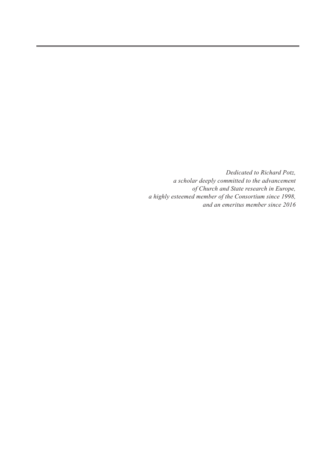*Dedicated to Richard Potz, a scholar deeply committed to the advancement of Church and State research in Europe, a highly esteemed member of the Consortium since 1998, and an emeritus member since 2016*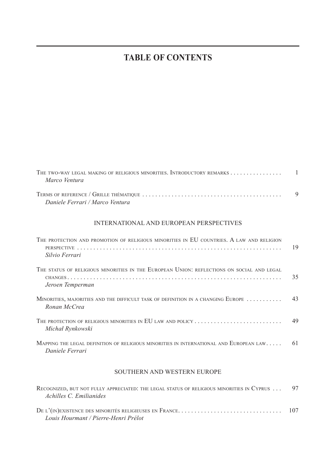## **TABLE OF CONTENTS**

| THE TWO-WAY LEGAL MAKING OF RELIGIOUS MINORITIES. INTRODUCTORY REMARKS 1<br>Marco Ventura                     |    |
|---------------------------------------------------------------------------------------------------------------|----|
| Daniele Ferrari / Marco Ventura                                                                               | 9  |
| INTERNATIONAL AND EUROPEAN PERSPECTIVES                                                                       |    |
| THE PROTECTION AND PROMOTION OF RELIGIOUS MINORITIES IN EU COUNTRIES, A LAW AND RELIGION<br>Silvio Ferrari    | 19 |
| THE STATUS OF RELIGIOUS MINORITIES IN THE EUROPEAN UNION: REFLECTIONS ON SOCIAL AND LEGAL<br>Jeroen Temperman | 35 |
| MINORITIES, MAJORITIES AND THE DIFFICULT TASK OF DEFINITION IN A CHANGING EUROPE<br>Ronan McCrea              | 43 |
| THE PROTECTION OF RELIGIOUS MINORITIES IN EU LAW AND POLICY<br>Michał Rynkowski                               | 49 |
| MAPPING THE LEGAL DEFINITION OF RELIGIOUS MINORITIES IN INTERNATIONAL AND EUROPEAN LAW<br>Daniele Ferrari     | 61 |

#### SOUTHERN AND WESTERN EUROPE

| RECOGNIZED, BUT NOT FULLY APPRECIATED: THE LEGAL STATUS OF RELIGIOUS MINORITIES IN CYPRUS  97 |  |
|-----------------------------------------------------------------------------------------------|--|
| Achilles C. Emilianides                                                                       |  |
|                                                                                               |  |
| Louis Hourmant / Pierre-Henri Prélot                                                          |  |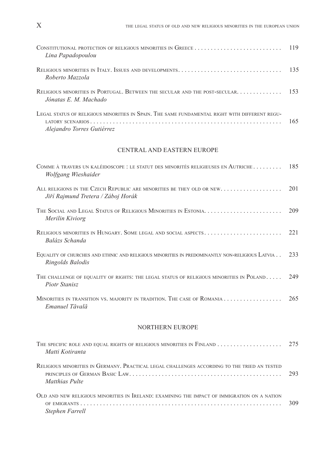| Lina Papadopoulou                                                                                                            |  |
|------------------------------------------------------------------------------------------------------------------------------|--|
| Roberto Mazzola                                                                                                              |  |
| RELIGIOUS MINORITIES IN PORTUGAL. BETWEEN THE SECULAR AND THE POST-SECULAR.  153<br>Jónatas E. M. Machado                    |  |
| LEGAL STATUS OF RELIGIOUS MINORITIES IN SPAIN. THE SAME FUNDAMENTAL RIGHT WITH DIFFERENT REGU-<br>Alejandro Torres Gutiérrez |  |

#### CENTRAL AND EASTERN EUROPE

| COMME À TRAVERS UN KALÉIDOSCOPE : LE STATUT DES MINORITÉS RELIGIEUSES EN AUTRICHE<br>Wolfgang Wieshaider                                          | 185  |
|---------------------------------------------------------------------------------------------------------------------------------------------------|------|
| ALL RELIGIONS IN THE CZECH REPUBLIC ARE MINORITIES BE THEY OLD OR NEW.<br>Jiří Rajmund Tretera / Záboj Horák                                      | 201  |
| Merilin Kiviorg                                                                                                                                   | 209  |
| Balázs Schanda                                                                                                                                    | 221  |
| EQUALITY OF CHURCHES AND ETHNIC AND RELIGIOUS MINORITIES IN PREDOMINANTLY NON-RELIGIOUS LATVIA<br>Ringolds Balodis                                | 233  |
| THE CHALLENGE OF EQUALITY OF RIGHTS: THE LEGAL STATUS OF RELIGIOUS MINORITIES IN POLAND<br>Piotr Stanisz                                          | 2.49 |
| Emanuel Tăvală                                                                                                                                    | 265  |
| <b>NORTHERN EUROPE</b>                                                                                                                            |      |
| Matti Kotiranta                                                                                                                                   | 275  |
| RELIGIOUS MINORITIES IN GERMANY, PRACTICAL LEGAL CHALLENGES ACCORDING TO THE TRIED AN TESTED<br>PRINCIPLES OF GERMAN BASIC LAW.<br>Matthias Pulte | 293  |

| OLD AND NEW RELIGIOUS MINORITIES IN IRELAND: EXAMINING THE IMPACT OF IMMIGRATION ON A NATION |     |
|----------------------------------------------------------------------------------------------|-----|
|                                                                                              | 309 |
| Stephen Farrell                                                                              |     |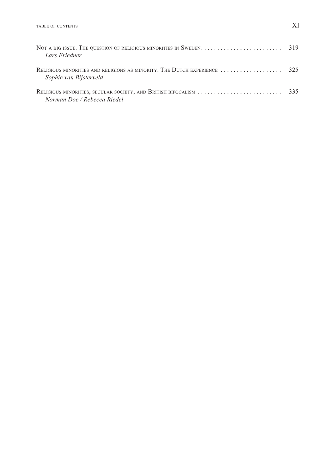| Lars Friedner                                                                                |     |
|----------------------------------------------------------------------------------------------|-----|
| Sophie van Bijsterveld                                                                       |     |
| RELIGIOUS MINORITIES, SECULAR SOCIETY, AND BRITISH BIFOCALISM<br>Norman Doe / Rebecca Riedel | 335 |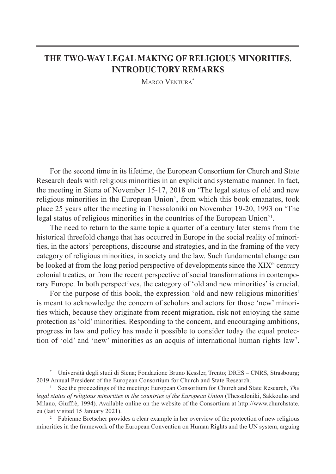## **THE TWO-WAY LEGAL MAKING OF RELIGIOUS MINORITIES. INTRODUCTORY REMARKS**

MARCO VENTURA\*

For the second time in its lifetime, the European Consortium for Church and State Research deals with religious minorities in an explicit and systematic manner. In fact, the meeting in Siena of November 15-17, 2018 on 'The legal status of old and new religious minorities in the European Union', from which this book emanates, took place 25 years after the meeting in Thessaloniki on November 19-20, 1993 on 'The legal status of religious minorities in the countries of the European Union<sup>'1</sup>.

The need to return to the same topic a quarter of a century later stems from the historical threefold change that has occurred in Europe in the social reality of minorities, in the actors' perceptions, discourse and strategies, and in the framing of the very category of religious minorities, in society and the law. Such fundamental change can be looked at from the long period perspective of developments since the  $XIX<sup>th</sup>$  century colonial treaties, or from the recent perspective of social transformations in contemporary Europe. In both perspectives, the category of 'old and new minorities' is crucial.

For the purpose of this book, the expression 'old and new religious minorities' is meant to acknowledge the concern of scholars and actors for those 'new' minorities which, because they originate from recent migration, risk not enjoying the same protection as 'old' minorities. Responding to the concern, and encouraging ambitions, progress in law and policy has made it possible to consider today the equal protection of 'old' and 'new' minorities as an acquis of international human rights law<sup>2</sup>.

\* Università degli studi di Siena; Fondazione Bruno Kessler, Trento; DRES – CNRS, Strasbourg; 2019 Annual President of the European Consortium for Church and State Research.

1 See the proceedings of the meeting: European Consortium for Church and State Research, *The legal status of religious minorities in the countries of the European Union* (Thessaloniki, Sakkoulas and Milano, Giuffrè, 1994). Available online on the website of the Consortium at http://www.churchstate. eu (last visited 15 January 2021).

<sup>2</sup> Fabienne Bretscher provides a clear example in her overview of the protection of new religious minorities in the framework of the European Convention on Human Rights and the UN system, arguing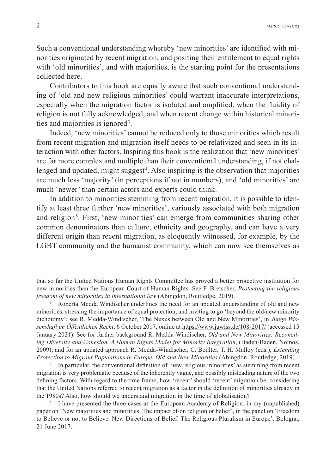Such a conventional understanding whereby 'new minorities' are identified with minorities originated by recent migration, and positing their entitlement to equal rights with 'old minorities', and with majorities, is the starting point for the presentations collected here.

Contributors to this book are equally aware that such conventional understanding of 'old and new religious minorities' could warrant inaccurate interpretations, especially when the migration factor is isolated and amplified, when the fluidity of religion is not fully acknowledged, and when recent change within historical minorities and majorities is ignored<sup>3</sup>.

Indeed, 'new minorities' cannot be reduced only to those minorities which result from recent migration and migration itself needs to be relativized and seen in its interaction with other factors. Inspiring this book is the realization that 'new minorities' are far more complex and multiple than their conventional understanding, if not challenged and updated, might suggest<sup>4</sup>. Also inspiring is the observation that majorities are much less 'majority' (in perceptions if not in numbers), and 'old minorities' are much 'newer' than certain actors and experts could think.

In addition to minorities stemming from recent migration, it is possible to identify at least three further 'new minorities', variously associated with both migration and religion<sup>5</sup>. First, 'new minorities' can emerge from communities sharing other common denominators than culture, ethnicity and geography, and can have a very different origin than recent migration, as eloquently witnessed, for example, by the LGBT community and the humanist community, which can now see themselves as

4 In particular, the conventional definition of 'new religious minorities' as stemming from recent migration is very problematic because of the inherently vague, and possibly misleading nature of the two defining factors. With regard to the time frame, how 'recent' should 'recent' migration be, considering that the United Nations referred to recent migration as a factor in the definition of minorities already in the 1980s? Also, how should we understand migration in the time of globalisation?

that so far the United Nations Human Rights Committee has proved a better protective institution for new minorities than the European Court of Human Rights. See F. Bretscher, *Protecting the religious freedom of new minorities in international law* (Abingdon, Routledge, 2019).

<sup>3</sup> Roberta Medda Windischer underlines the need for an updated understanding of old and new minorities, stressing the importance of equal protection, and inviting to go 'beyond the old/new minority dichotomy'; see R. Medda-Windischer, 'The Nexus between Old and New Minorities', in *Junge Wissenshaft im Öffentlichen Recht*, 6 October 2017, online at https://www.juwiss.de/108-2017/ (accessed 15 January 2021). See for further background R. Medda-Windischer, *Old and New Minorities: Reconciling Diversity and Cohesion. A Human Rights Model for Minority Integration*, (Baden-Baden, Nomos, 2009); and for an updated approach R. Medda-Windischer, C. Boulter, T. H. Malloy (eds.), *Extending Protection to Migrant Populations in Europe. Old and New Minorities* (Abingdon, Routledge, 2019).

<sup>5</sup> I have presented the three cases at the European Academy of Religion, in my (unpublished) paper on 'New majorities and minorities. The impact of/on religion or belief', in the panel on 'Freedom to Believe or not to Believe. New Directions of Belief. The Religious Pluralism in Europe', Bologna, 21 June 2017.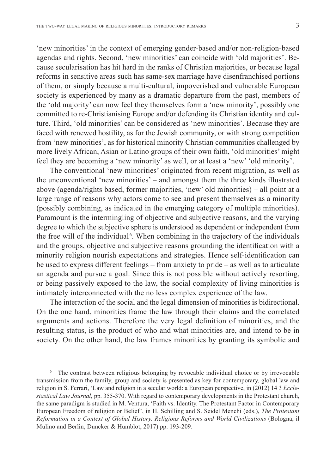'new minorities' in the context of emerging gender-based and/or non-religion-based agendas and rights. Second, 'new minorities' can coincide with 'old majorities'. Because secularisation has hit hard in the ranks of Christian majorities, or because legal reforms in sensitive areas such has same-sex marriage have disenfranchised portions of them, or simply because a multi-cultural, impoverished and vulnerable European society is experienced by many as a dramatic departure from the past, members of the 'old majority' can now feel they themselves form a 'new minority', possibly one committed to re-Christianising Europe and/or defending its Christian identity and culture. Third, 'old minorities' can be considered as 'new minorities'. Because they are faced with renewed hostility, as for the Jewish community, or with strong competition from 'new minorities', as for historical minority Christian communities challenged by more lively African, Asian or Latino groups of their own faith, 'old minorities' might feel they are becoming a 'new minority' as well, or at least a 'new' 'old minority'.

The conventional 'new minorities' originated from recent migration, as well as the unconventional 'new minorities' – and amongst them the three kinds illustrated above (agenda/rights based, former majorities, 'new' old minorities) – all point at a large range of reasons why actors come to see and present themselves as a minority (possibly combining, as indicated in the emerging category of multiple minorities). Paramount is the intermingling of objective and subjective reasons, and the varying degree to which the subjective sphere is understood as dependent or independent from the free will of the individual<sup>6</sup>. When combining in the trajectory of the individuals and the groups, objective and subjective reasons grounding the identification with a minority religion nourish expectations and strategies. Hence self-identification can be used to express different feelings – from anxiety to pride – as well as to articulate an agenda and pursue a goal. Since this is not possible without actively resorting, or being passively exposed to the law, the social complexity of living minorities is intimately interconnected with the no less complex experience of the law.

The interaction of the social and the legal dimension of minorities is bidirectional. On the one hand, minorities frame the law through their claims and the correlated arguments and actions. Therefore the very legal definition of minorities, and the resulting status, is the product of who and what minorities are, and intend to be in society. On the other hand, the law frames minorities by granting its symbolic and

6 The contrast between religious belonging by revocable individual choice or by irrevocable transmission from the family, group and society is presented as key for contemporary, global law and religion in S. Ferrari, 'Law and religion in a secular world: a European perspective, in (2012) 14 3 *Ecclesiastical Law Journal*, pp. 355-370. With regard to contemporary developments in the Protestant church, the same paradigm is studied in M. Ventura, 'Faith vs. Identity. The Protestant Factor in Contemporary European Freedom of religion or Belief', in H. Schilling and S. Seidel Menchi (eds.), *The Protestant Reformation in a Context of Global History. Religious Reforms and World Civilizations* (Bologna, il Mulino and Berlin, Duncker & Humblot, 2017) pp. 193-209.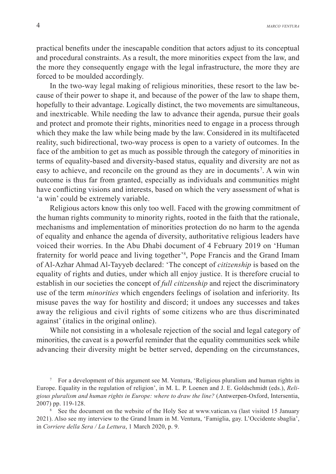practical benefits under the inescapable condition that actors adjust to its conceptual and procedural constraints. As a result, the more minorities expect from the law, and the more they consequently engage with the legal infrastructure, the more they are forced to be moulded accordingly.

In the two-way legal making of religious minorities, these resort to the law because of their power to shape it, and because of the power of the law to shape them, hopefully to their advantage. Logically distinct, the two movements are simultaneous, and inextricable. While needing the law to advance their agenda, pursue their goals and protect and promote their rights, minorities need to engage in a process through which they make the law while being made by the law. Considered in its multifaceted reality, such bidirectional, two-way process is open to a variety of outcomes. In the face of the ambition to get as much as possible through the category of minorities in terms of equality-based and diversity-based status, equality and diversity are not as easy to achieve, and reconcile on the ground as they are in documents 7. A win win outcome is thus far from granted, especially as individuals and communities might have conflicting visions and interests, based on which the very assessment of what is 'a win' could be extremely variable.

Religious actors know this only too well. Faced with the growing commitment of the human rights community to minority rights, rooted in the faith that the rationale, mechanisms and implementation of minorities protection do no harm to the agenda of equality and enhance the agenda of diversity, authoritative religious leaders have voiced their worries. In the Abu Dhabi document of 4 February 2019 on 'Human fraternity for world peace and living together'<sup>8</sup>, Pope Francis and the Grand Imam of Al-Azhar Ahmad Al-Tayyeb declared: 'The concept of *citizenship* is based on the equality of rights and duties, under which all enjoy justice. It is therefore crucial to establish in our societies the concept of *full citizenship* and reject the discriminatory use of the term *minorities* which engenders feelings of isolation and inferiority. Its misuse paves the way for hostility and discord; it undoes any successes and takes away the religious and civil rights of some citizens who are thus discriminated against' (italics in the original online).

While not consisting in a wholesale rejection of the social and legal category of minorities, the caveat is a powerful reminder that the equality communities seek while advancing their diversity might be better served, depending on the circumstances,

<sup>7</sup> For a development of this argument see M. Ventura, 'Religious pluralism and human rights in Europe. Equality in the regulation of religion', in M. L. P. Loenen and J. E. Goldschmidt (eds.), *Religious pluralism and human rights in Europe: where to draw the line?* (Antwerpen-Oxford, Intersentia, 2007) pp. 119-128.

<sup>&</sup>lt;sup>8</sup> See the document on the website of the Holy See at www.vatican.va (last visited 15 January 2021). Also see my interview to the Grand Imam in M. Ventura, 'Famiglia, gay. L'Occidente sbaglia', in *Corriere della Sera / La Lettura*, 1 March 2020, p. 9.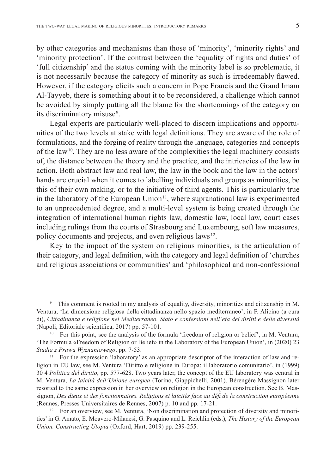by other categories and mechanisms than those of 'minority', 'minority rights' and 'minority protection'. If the contrast between the 'equality of rights and duties' of 'full citizenship' and the status coming with the minority label is so problematic, it is not necessarily because the category of minority as such is irredeemably flawed. However, if the category elicits such a concern in Pope Francis and the Grand Imam Al-Tayyeb, there is something about it to be reconsidered, a challenge which cannot be avoided by simply putting all the blame for the shortcomings of the category on its discriminatory misuse<sup>9</sup>.

Legal experts are particularly well-placed to discern implications and opportunities of the two levels at stake with legal definitions. They are aware of the role of formulations, and the forging of reality through the language, categories and concepts of the law 10. They are no less aware of the complexities the legal machinery consists of, the distance between the theory and the practice, and the intricacies of the law in action. Both abstract law and real law, the law in the book and the law in the actors' hands are crucial when it comes to labelling individuals and groups as minorities, be this of their own making, or to the initiative of third agents. This is particularly true in the laboratory of the European Union<sup>11</sup>, where supranational law is experimented to an unprecedented degree, and a multi-level system is being created through the integration of international human rights law, domestic law, local law, court cases including rulings from the courts of Strasbourg and Luxembourg, soft law measures, policy documents and projects, and even religious laws 12.

Key to the impact of the system on religious minorities, is the articulation of their category, and legal definition, with the category and legal definition of 'churches and religious associations or communities' and 'philosophical and non-confessional

9 This comment is rooted in my analysis of equality, diversity, minorities and citizenship in M. Ventura, 'La dimensione religiosa della cittadinanza nello spazio mediterraneo', in F. Alicino (a cura di), *Cittadinanza e religione nel Mediterraneo. Stato e confessioni nell'età dei diritti e delle diversità* (Napoli, Editoriale scientifica, 2017) pp. 57-101.

<sup>10</sup> For this point, see the analysis of the formula 'freedom of religion or belief', in M. Ventura, 'The Formula «Freedom of Religion or Belief» in the Laboratory of the European Union', in (2020) 23 *Studia z Prawa Wyznaniowego*, pp. 7-53.

<sup>11</sup> For the expression 'laboratory' as an appropriate descriptor of the interaction of law and religion in EU law, see M. Ventura 'Diritto e religione in Europa: il laboratorio comunitario', in (1999) 30 4 *Politica del diritto*, pp. 577-628. Two years later, the concept of the EU laboratory was central in M. Ventura, *La laicità dell'Unione europea* (Torino, Giappichelli, 2001). Bérengère Massignon later resorted to the same expression in her overview on religion in the European construction. See B. Massignon, *Des dieux et des fonctionnaires. Religions et laïcités face au défi de la construction européenne* (Rennes, Presses Universitaires de Rennes, 2007) p. 10 and pp. 17-21.

<sup>12</sup> For an overview, see M. Ventura, 'Non discrimination and protection of diversity and minorities' in G. Amato, E. Moavero-Milanesi, G. Pasquino and L. Reichlin (eds.), *The History of the European Union. Constructing Utopia* (Oxford, Hart, 2019) pp. 239-255.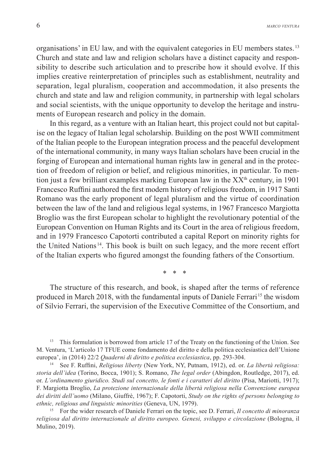organisations' in EU law, and with the equivalent categories in EU members states. 13 Church and state and law and religion scholars have a distinct capacity and responsibility to describe such articulation and to prescribe how it should evolve. If this implies creative reinterpretation of principles such as establishment, neutrality and separation, legal pluralism, cooperation and accommodation, it also presents the church and state and law and religion community, in partnership with legal scholars and social scientists, with the unique opportunity to develop the heritage and instruments of European research and policy in the domain.

In this regard, as a venture with an Italian heart, this project could not but capitalise on the legacy of Italian legal scholarship. Building on the post WWII commitment of the Italian people to the European integration process and the peaceful development of the international community, in many ways Italian scholars have been crucial in the forging of European and international human rights law in general and in the protection of freedom of religion or belief, and religious minorities, in particular. To mention just a few brilliant examples marking European law in the  $XX^{\text{th}}$  century, in 1901 Francesco Ruffini authored the first modern history of religious freedom, in 1917 Santi Romano was the early proponent of legal pluralism and the virtue of coordination between the law of the land and religious legal systems, in 1967 Francesco Margiotta Broglio was the first European scholar to highlight the revolutionary potential of the European Convention on Human Rights and its Court in the area of religious freedom, and in 1979 Francesco Capotorti contributed a capital Report on minority rights for the United Nations 14. This book is built on such legacy, and the more recent effort of the Italian experts who figured amongst the founding fathers of the Consortium.

 $\star$ 

The structure of this research, and book, is shaped after the terms of reference produced in March 2018, with the fundamental inputs of Daniele Ferrari 15 the wisdom of Silvio Ferrari, the supervision of the Executive Committee of the Consortium, and

<sup>13</sup> This formulation is borrowed from article 17 of the Treaty on the functioning of the Union. See M. Ventura, 'L'articolo 17 TFUE come fondamento del diritto e della politica ecclesiastica dell'Unione europea', in (2014) 22/2 *Quaderni di diritto e politica ecclesiastica*, pp. 293-304.

<sup>14</sup> See F. Ruffini, *Religious liberty* (New York, NY, Putnam, 1912), ed. or. *La libertà religiosa: storia dell'idea* (Torino, Bocca, 1901); S. Romano, *The legal order* (Abingdon, Routledge, 2017), ed. or. *L'ordinamento giuridico. Studi sul concetto, le fonti e i caratteri del diritto* (Pisa, Mariotti, 1917); F. Margiotta Broglio, *La protezione internazionale della libertà religiosa nella Convenzione europea dei diritti dell'uomo* (Milano, Giuffrè, 1967); F. Capotorti, *Study on the rights of persons belonging to ethnic, religious and linguistic minorities* (Geneva, UN, 1979).

15 For the wider research of Daniele Ferrari on the topic, see D. Ferrari, *Il concetto di minoranza religiosa dal diritto internazionale al diritto europeo. Genesi, sviluppo e circolazione* (Bologna, il Mulino, 2019).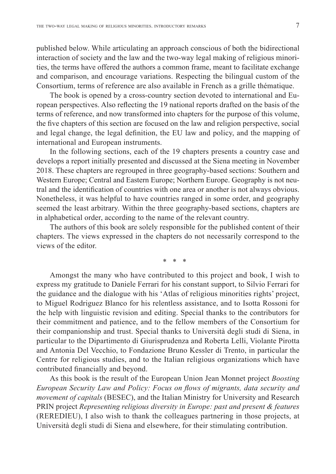published below. While articulating an approach conscious of both the bidirectional interaction of society and the law and the two-way legal making of religious minorities, the terms have offered the authors a common frame, meant to facilitate exchange and comparison, and encourage variations. Respecting the bilingual custom of the Consortium, terms of reference are also available in French as a grille thématique.

The book is opened by a cross-country section devoted to international and European perspectives. Also reflecting the 19 national reports drafted on the basis of the terms of reference, and now transformed into chapters for the purpose of this volume, the five chapters of this section are focused on the law and religion perspective, social and legal change, the legal definition, the EU law and policy, and the mapping of international and European instruments.

In the following sections, each of the 19 chapters presents a country case and develops a report initially presented and discussed at the Siena meeting in November 2018. These chapters are regrouped in three geography-based sections: Southern and Western Europe; Central and Eastern Europe; Northern Europe. Geography is not neutral and the identification of countries with one area or another is not always obvious. Nonetheless, it was helpful to have countries ranged in some order, and geography seemed the least arbitrary. Within the three geography-based sections, chapters are in alphabetical order, according to the name of the relevant country.

The authors of this book are solely responsible for the published content of their chapters. The views expressed in the chapters do not necessarily correspond to the views of the editor.

\* \* \*

Amongst the many who have contributed to this project and book, I wish to express my gratitude to Daniele Ferrari for his constant support, to Silvio Ferrari for the guidance and the dialogue with his 'Atlas of religious minorities rights' project, to Miguel Rodriguez Blanco for his relentless assistance, and to Isotta Rossoni for the help with linguistic revision and editing. Special thanks to the contributors for their commitment and patience, and to the fellow members of the Consortium for their companionship and trust. Special thanks to Università degli studi di Siena, in particular to the Dipartimento di Giurisprudenza and Roberta Lelli, Violante Pirotta and Antonia Del Vecchio, to Fondazione Bruno Kessler di Trento, in particular the Centre for religious studies, and to the Italian religious organizations which have contributed financially and beyond.

As this book is the result of the European Union Jean Monnet project *Boosting European Security Law and Policy: Focus on flows of migrants, data security and movement of capitals* (BESEC), and the Italian Ministry for University and Research PRIN project *Representing religious diversity in Europe: past and present & features* (REREDIEU), I also wish to thank the colleagues partnering in those projects, at Università degli studi di Siena and elsewhere, for their stimulating contribution.